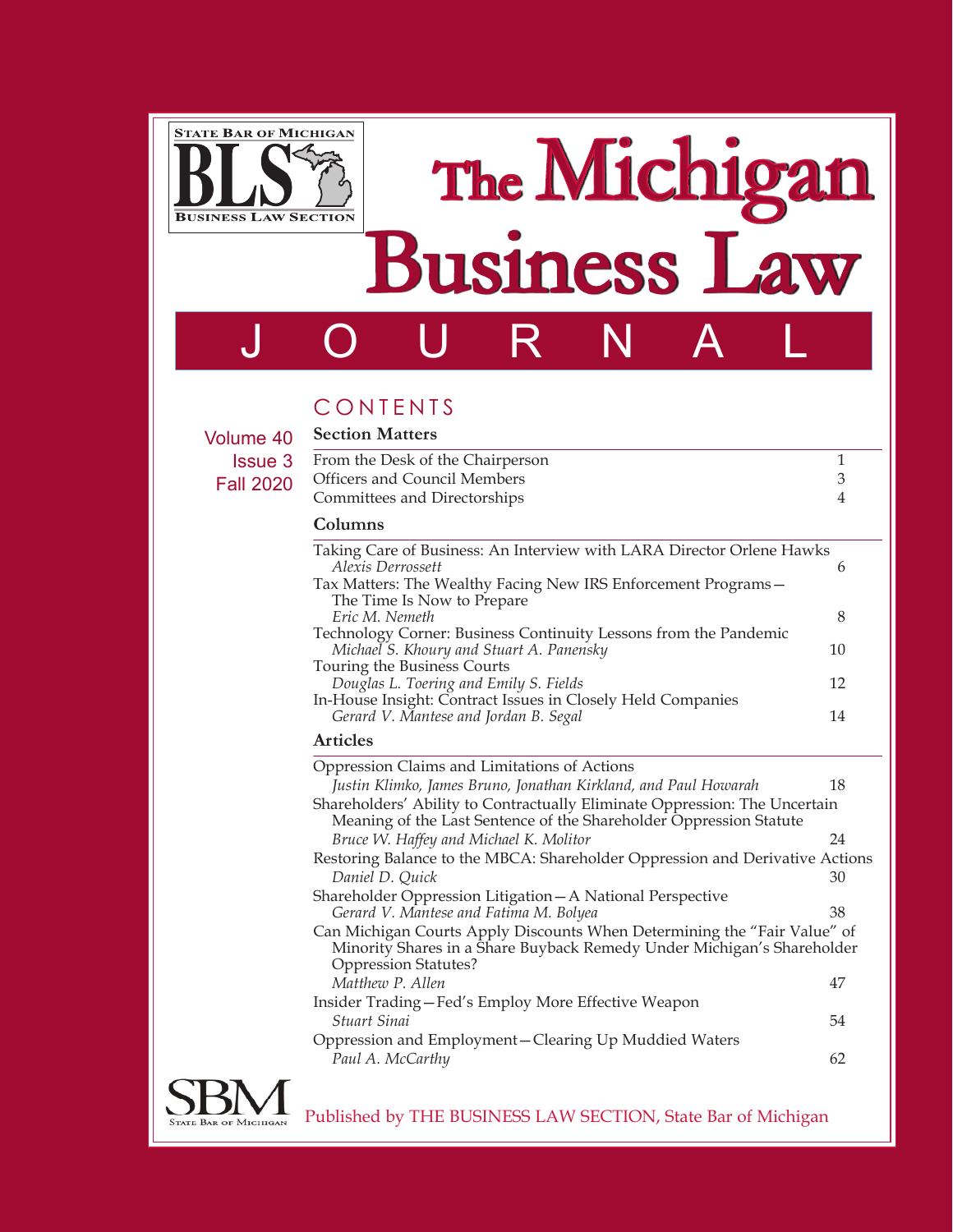

# The Michigan Business Law

## JOURNAL

CONTENTS **Section Matters**

Volume 40 **Issue** Fall 20

| <b>Secuoli Matters</b>                                                                               |                |
|------------------------------------------------------------------------------------------------------|----------------|
| From the Desk of the Chairperson                                                                     | $\mathbf{1}$   |
| <b>Officers and Council Members</b>                                                                  | 3              |
| Committees and Directorships                                                                         | $\overline{4}$ |
| Columns                                                                                              |                |
| Taking Care of Business: An Interview with LARA Director Orlene Hawks<br>Alexis Derrossett           | 6              |
| Tax Matters: The Wealthy Facing New IRS Enforcement Programs-<br>The Time Is Now to Prepare          |                |
| Eric M. Nemeth                                                                                       | 8              |
| Technology Corner: Business Continuity Lessons from the Pandemic                                     |                |
| Michael S. Khoury and Stuart A. Panensky                                                             | 10             |
| Touring the Business Courts<br>Douglas L. Toering and Emily S. Fields                                | 12             |
| In-House Insight: Contract Issues in Closely Held Companies<br>Gerard V. Mantese and Jordan B. Segal | 14             |
| <b>Articles</b>                                                                                      |                |

| Oppression Claims and Limitations of Actions                                                                                                                                      |    |
|-----------------------------------------------------------------------------------------------------------------------------------------------------------------------------------|----|
| Justin Klimko, James Bruno, Jonathan Kirkland, and Paul Howarah                                                                                                                   | 18 |
| Shareholders' Ability to Contractually Eliminate Oppression: The Uncertain<br>Meaning of the Last Sentence of the Shareholder Oppression Statute                                  |    |
| Bruce W. Haffey and Michael K. Molitor                                                                                                                                            | 24 |
| Restoring Balance to the MBCA: Shareholder Oppression and Derivative Actions                                                                                                      |    |
| Daniel D. Quick                                                                                                                                                                   | 30 |
| Shareholder Oppression Litigation - A National Perspective                                                                                                                        |    |
| Gerard V. Mantese and Fatima M. Bolyea                                                                                                                                            | 38 |
| Can Michigan Courts Apply Discounts When Determining the "Fair Value" of<br>Minority Shares in a Share Buyback Remedy Under Michigan's Shareholder<br><b>Oppression Statutes?</b> |    |
| Matthew P. Allen                                                                                                                                                                  | 47 |
| Insider Trading-Fed's Employ More Effective Weapon<br>Stuart Sinai                                                                                                                | 54 |
| Oppression and Employment-Clearing Up Muddied Waters                                                                                                                              |    |
| Paul A. McCarthy                                                                                                                                                                  | 62 |
|                                                                                                                                                                                   |    |



Published by THE BUSINESS LAW SECTION, State Bar of Michigan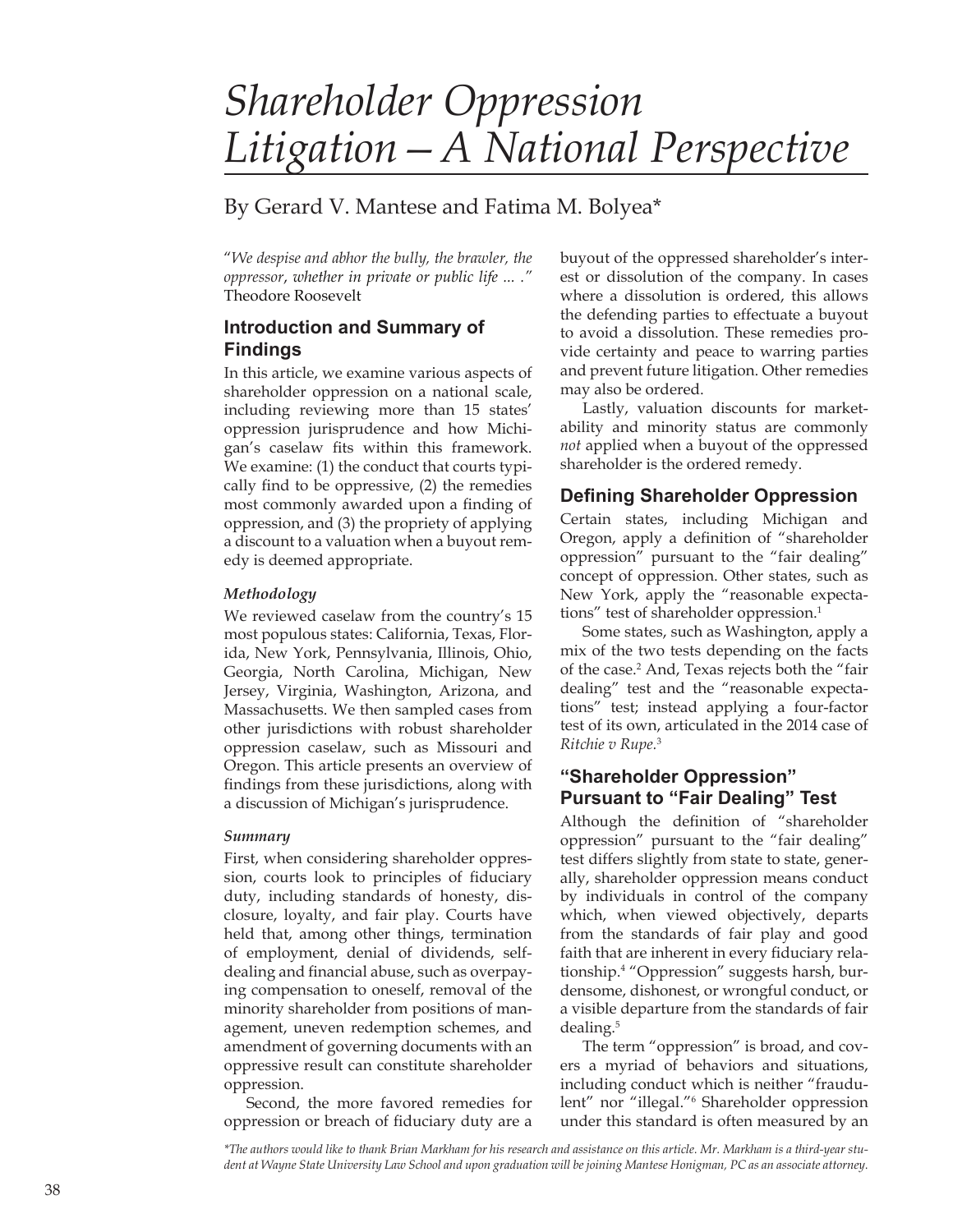### *Shareholder Oppression Litigation—A National Perspective*

#### By Gerard V. Mantese and Fatima M. Bolyea\*

"*We despise and abhor the bully, the brawler, the oppressor*, *whether in private or public life ... ."* Theodore Roosevelt

#### **Introduction and Summary of Findings**

In this article, we examine various aspects of shareholder oppression on a national scale, including reviewing more than 15 states' oppression jurisprudence and how Michigan's caselaw fits within this framework. We examine: (1) the conduct that courts typically find to be oppressive, (2) the remedies most commonly awarded upon a finding of oppression, and (3) the propriety of applying a discount to a valuation when a buyout remedy is deemed appropriate.

#### *Methodology*

We reviewed caselaw from the country's 15 most populous states: California, Texas, Florida, New York, Pennsylvania, Illinois, Ohio, Georgia, North Carolina, Michigan, New Jersey, Virginia, Washington, Arizona, and Massachusetts. We then sampled cases from other jurisdictions with robust shareholder oppression caselaw, such as Missouri and Oregon. This article presents an overview of findings from these jurisdictions, along with a discussion of Michigan's jurisprudence.

#### *Summary*

First, when considering shareholder oppression, courts look to principles of fiduciary duty, including standards of honesty, disclosure, loyalty, and fair play. Courts have held that, among other things, termination of employment, denial of dividends, selfdealing and financial abuse, such as overpaying compensation to oneself, removal of the minority shareholder from positions of management, uneven redemption schemes, and amendment of governing documents with an oppressive result can constitute shareholder oppression.

Second, the more favored remedies for oppression or breach of fiduciary duty are a buyout of the oppressed shareholder's interest or dissolution of the company. In cases where a dissolution is ordered, this allows the defending parties to effectuate a buyout to avoid a dissolution. These remedies provide certainty and peace to warring parties and prevent future litigation. Other remedies may also be ordered.

Lastly, valuation discounts for marketability and minority status are commonly *not* applied when a buyout of the oppressed shareholder is the ordered remedy.

#### **Defining Shareholder Oppression**

Certain states, including Michigan and Oregon, apply a definition of "shareholder oppression" pursuant to the "fair dealing" concept of oppression. Other states, such as New York, apply the "reasonable expectations" test of shareholder oppression.<sup>1</sup>

Some states, such as Washington, apply a mix of the two tests depending on the facts of the case.<sup>2</sup> And, Texas rejects both the "fair dealing" test and the "reasonable expectations" test; instead applying a four-factor test of its own, articulated in the 2014 case of *Ritchie v Rupe.*<sup>3</sup>

#### **"Shareholder Oppression" Pursuant to "Fair Dealing" Test**

Although the definition of "shareholder oppression" pursuant to the "fair dealing" test differs slightly from state to state, generally, shareholder oppression means conduct by individuals in control of the company which, when viewed objectively, departs from the standards of fair play and good faith that are inherent in every fiduciary relationship.4 "Oppression" suggests harsh, burdensome, dishonest, or wrongful conduct, or a visible departure from the standards of fair dealing.<sup>5</sup>

The term "oppression" is broad, and covers a myriad of behaviors and situations, including conduct which is neither "fraudulent" nor "illegal."6 Shareholder oppression under this standard is often measured by an

*\*The authors would like to thank Brian Markham for his research and assistance on this article. Mr. Markham is a third-year student at Wayne State University Law School and upon graduation will be joining Mantese Honigman, PC as an associate attorney.*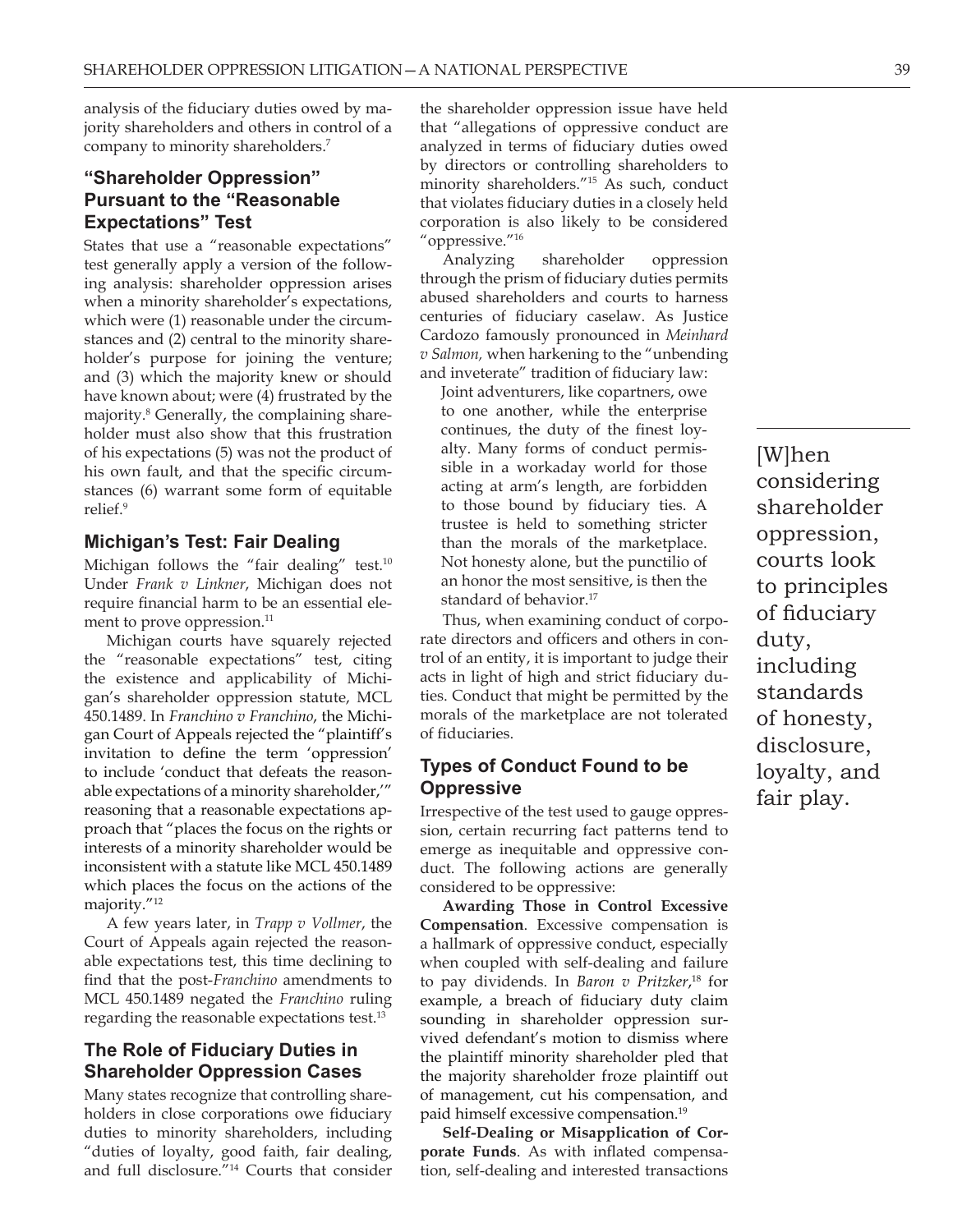analysis of the fiduciary duties owed by majority shareholders and others in control of a company to minority shareholders.7

#### **"Shareholder Oppression" Pursuant to the "Reasonable Expectations" Test**

States that use a "reasonable expectations" test generally apply a version of the following analysis: shareholder oppression arises when a minority shareholder's expectations, which were  $(1)$  reasonable under the circumstances and (2) central to the minority shareholder's purpose for joining the venture; and (3) which the majority knew or should have known about; were (4) frustrated by the majority.8 Generally, the complaining shareholder must also show that this frustration of his expectations (5) was not the product of his own fault, and that the specific circumstances (6) warrant some form of equitable relief.<sup>9</sup>

#### **Michigan's Test: Fair Dealing**

Michigan follows the "fair dealing" test.<sup>10</sup> Under *Frank v Linkner*, Michigan does not require financial harm to be an essential element to prove oppression.<sup>11</sup>

Michigan courts have squarely rejected the "reasonable expectations" test, citing the existence and applicability of Michigan's shareholder oppression statute, MCL 450.1489. In *Franchino v Franchino*, the Michigan Court of Appeals rejected the "plaintiff's invitation to define the term 'oppression' to include 'conduct that defeats the reasonable expectations of a minority shareholder,'" reasoning that a reasonable expectations approach that "places the focus on the rights or interests of a minority shareholder would be inconsistent with a statute like MCL 450.1489 which places the focus on the actions of the majority."<sup>12</sup>

A few years later, in *Trapp v Vollmer*, the Court of Appeals again rejected the reasonable expectations test, this time declining to find that the post-*Franchino* amendments to MCL 450.1489 negated the *Franchino* ruling regarding the reasonable expectations test.<sup>13</sup>

#### **The Role of Fiduciary Duties in Shareholder Oppression Cases**

Many states recognize that controlling shareholders in close corporations owe fiduciary duties to minority shareholders, including "duties of loyalty, good faith, fair dealing, and full disclosure."14 Courts that consider

the shareholder oppression issue have held that "allegations of oppressive conduct are analyzed in terms of fiduciary duties owed by directors or controlling shareholders to minority shareholders."15 As such, conduct that violates fiduciary duties in a closely held corporation is also likely to be considered "oppressive."16

Analyzing shareholder oppression through the prism of fiduciary duties permits abused shareholders and courts to harness centuries of fiduciary caselaw. As Justice Cardozo famously pronounced in *Meinhard v Salmon,* when harkening to the "unbending and inveterate" tradition of fiduciary law:

Joint adventurers, like copartners, owe to one another, while the enterprise continues, the duty of the finest loyalty. Many forms of conduct permissible in a workaday world for those acting at arm's length, are forbidden to those bound by fiduciary ties. A trustee is held to something stricter than the morals of the marketplace. Not honesty alone, but the punctilio of an honor the most sensitive, is then the standard of behavior.<sup>17</sup>

Thus, when examining conduct of corporate directors and officers and others in control of an entity, it is important to judge their acts in light of high and strict fiduciary duties. Conduct that might be permitted by the morals of the marketplace are not tolerated of fiduciaries.

#### **Types of Conduct Found to be Oppressive**

Irrespective of the test used to gauge oppression, certain recurring fact patterns tend to emerge as inequitable and oppressive conduct. The following actions are generally considered to be oppressive:

**Awarding Those in Control Excessive Compensation**. Excessive compensation is a hallmark of oppressive conduct, especially when coupled with self-dealing and failure to pay dividends. In *Baron v Pritzker*, 18 for example, a breach of fiduciary duty claim sounding in shareholder oppression survived defendant's motion to dismiss where the plaintiff minority shareholder pled that the majority shareholder froze plaintiff out of management, cut his compensation, and paid himself excessive compensation.19

**Self-Dealing or Misapplication of Corporate Funds**. As with inflated compensation, self-dealing and interested transactions

[W]hen considering shareholder oppression, courts look to principles of fiduciary duty, including standards of honesty, disclosure, loyalty, and fair play.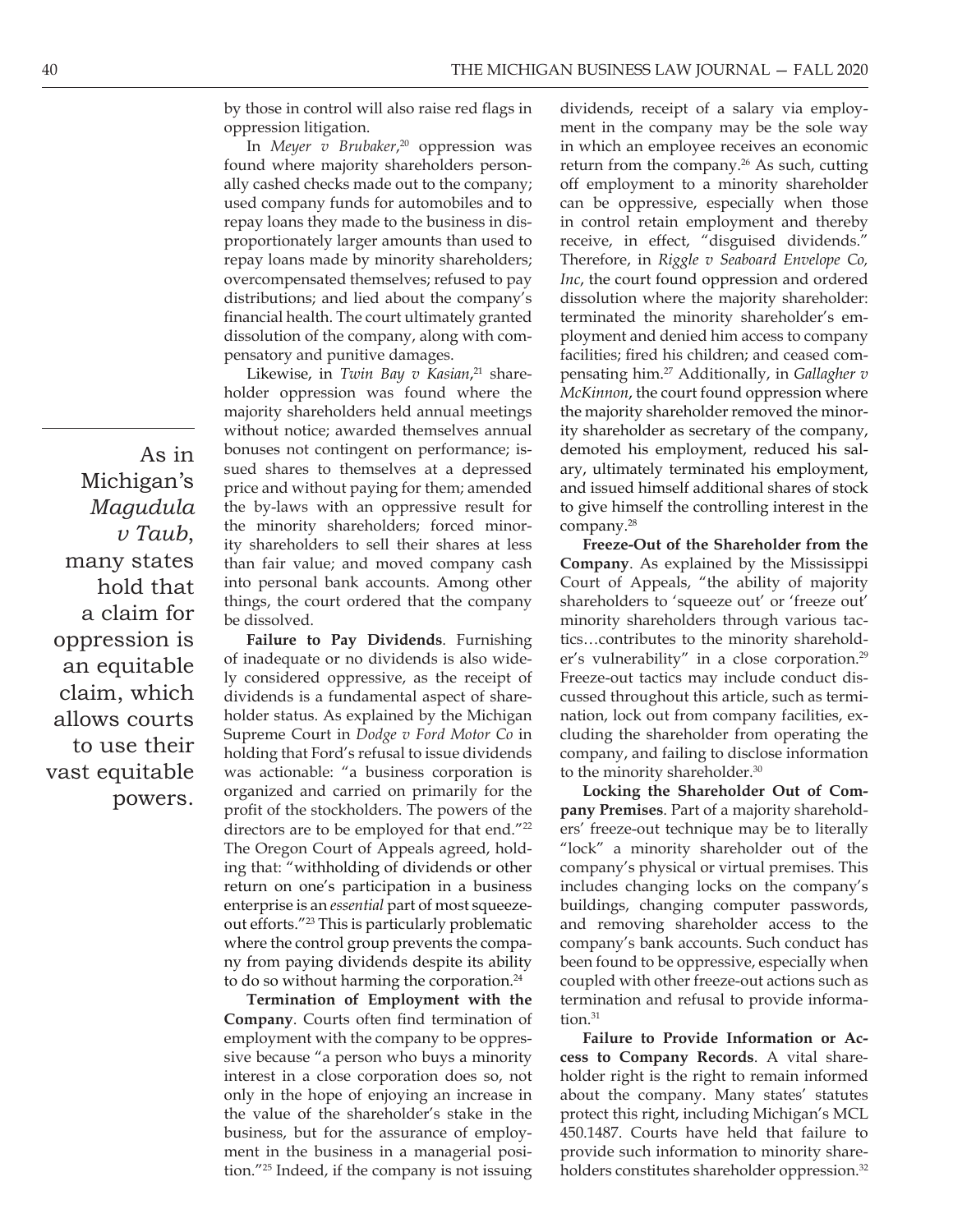by those in control will also raise red flags in oppression litigation.

In *Meyer v Brubaker*, 20 oppression was found where majority shareholders personally cashed checks made out to the company; used company funds for automobiles and to repay loans they made to the business in disproportionately larger amounts than used to repay loans made by minority shareholders; overcompensated themselves; refused to pay distributions; and lied about the company's financial health. The court ultimately granted dissolution of the company, along with compensatory and punitive damages.

Likewise, in *Twin Bay v Kasian*, 21 shareholder oppression was found where the majority shareholders held annual meetings without notice; awarded themselves annual bonuses not contingent on performance; issued shares to themselves at a depressed price and without paying for them; amended the by-laws with an oppressive result for the minority shareholders; forced minority shareholders to sell their shares at less than fair value; and moved company cash into personal bank accounts. Among other things, the court ordered that the company be dissolved.

**Failure to Pay Dividends**. Furnishing of inadequate or no dividends is also widely considered oppressive, as the receipt of dividends is a fundamental aspect of shareholder status. As explained by the Michigan Supreme Court in *Dodge v Ford Motor Co* in holding that Ford's refusal to issue dividends was actionable: "a business corporation is organized and carried on primarily for the profit of the stockholders. The powers of the directors are to be employed for that end."<sup>22</sup> The Oregon Court of Appeals agreed, holding that: "withholding of dividends or other return on one's participation in a business enterprise is an *essential* part of most squeezeout efforts."23 This is particularly problematic where the control group prevents the company from paying dividends despite its ability to do so without harming the corporation.<sup>24</sup>

**Termination of Employment with the Company**. Courts often find termination of employment with the company to be oppressive because "a person who buys a minority interest in a close corporation does so, not only in the hope of enjoying an increase in the value of the shareholder's stake in the business, but for the assurance of employment in the business in a managerial position."25 Indeed, if the company is not issuing

dividends, receipt of a salary via employment in the company may be the sole way in which an employee receives an economic return from the company.<sup>26</sup> As such, cutting off employment to a minority shareholder can be oppressive, especially when those in control retain employment and thereby receive, in effect, "disguised dividends." Therefore, in *Riggle v Seaboard Envelope Co, Inc*, the court found oppression and ordered dissolution where the majority shareholder: terminated the minority shareholder's employment and denied him access to company facilities; fired his children; and ceased compensating him.27 Additionally, in *Gallagher v McKinnon*, the court found oppression where the majority shareholder removed the minority shareholder as secretary of the company, demoted his employment, reduced his salary, ultimately terminated his employment, and issued himself additional shares of stock to give himself the controlling interest in the company.28

**Freeze-Out of the Shareholder from the Company**. As explained by the Mississippi Court of Appeals, "the ability of majority shareholders to 'squeeze out' or 'freeze out' minority shareholders through various tactics…contributes to the minority shareholder's vulnerability" in a close corporation.<sup>29</sup> Freeze-out tactics may include conduct discussed throughout this article, such as termination, lock out from company facilities, excluding the shareholder from operating the company, and failing to disclose information to the minority shareholder.<sup>30</sup>

**Locking the Shareholder Out of Company Premises**. Part of a majority shareholders' freeze-out technique may be to literally "lock" a minority shareholder out of the company's physical or virtual premises. This includes changing locks on the company's buildings, changing computer passwords, and removing shareholder access to the company's bank accounts. Such conduct has been found to be oppressive, especially when coupled with other freeze-out actions such as termination and refusal to provide information.<sup>31</sup>

**Failure to Provide Information or Access to Company Records**. A vital shareholder right is the right to remain informed about the company. Many states' statutes protect this right, including Michigan's MCL 450.1487. Courts have held that failure to provide such information to minority shareholders constitutes shareholder oppression.<sup>32</sup>

As in Michigan's *Magudula v Taub*, many states hold that a claim for oppression is an equitable claim, which allows courts to use their vast equitable powers.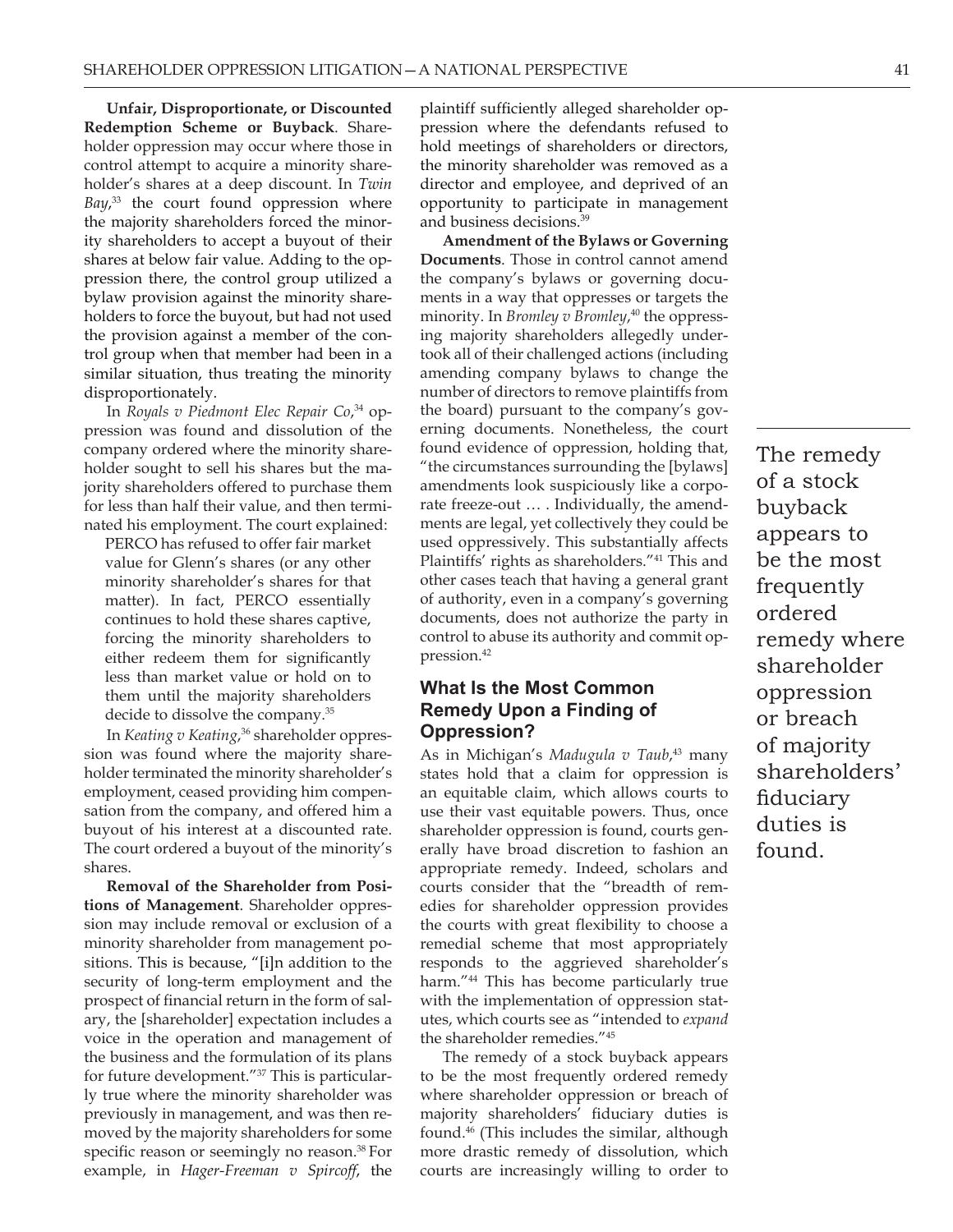**Unfair, Disproportionate, or Discounted Redemption Scheme or Buyback**. Shareholder oppression may occur where those in control attempt to acquire a minority shareholder's shares at a deep discount. In *Twin Bay*, 33 the court found oppression where the majority shareholders forced the minority shareholders to accept a buyout of their shares at below fair value. Adding to the oppression there, the control group utilized a bylaw provision against the minority shareholders to force the buyout, but had not used the provision against a member of the control group when that member had been in a similar situation, thus treating the minority disproportionately.

In *Royals v Piedmont Elec Repair Co*, 34 oppression was found and dissolution of the company ordered where the minority shareholder sought to sell his shares but the majority shareholders offered to purchase them for less than half their value, and then terminated his employment. The court explained:

PERCO has refused to offer fair market value for Glenn's shares (or any other minority shareholder's shares for that matter). In fact, PERCO essentially continues to hold these shares captive, forcing the minority shareholders to either redeem them for significantly less than market value or hold on to them until the majority shareholders decide to dissolve the company.35

In *Keating v Keating*, 36 shareholder oppression was found where the majority shareholder terminated the minority shareholder's employment, ceased providing him compensation from the company, and offered him a buyout of his interest at a discounted rate. The court ordered a buyout of the minority's shares.

**Removal of the Shareholder from Positions of Management**. Shareholder oppression may include removal or exclusion of a minority shareholder from management positions. This is because, "[i]n addition to the security of long-term employment and the prospect of financial return in the form of salary, the [shareholder] expectation includes a voice in the operation and management of the business and the formulation of its plans for future development."37 This is particularly true where the minority shareholder was previously in management, and was then removed by the majority shareholders for some specific reason or seemingly no reason.<sup>38</sup> For example, in *Hager-Freeman v Spircoff*, the plaintiff sufficiently alleged shareholder oppression where the defendants refused to hold meetings of shareholders or directors, the minority shareholder was removed as a director and employee, and deprived of an opportunity to participate in management and business decisions.39

**Amendment of the Bylaws or Governing Documents**. Those in control cannot amend the company's bylaws or governing documents in a way that oppresses or targets the minority. In *Bromley v Bromley*, 40 the oppressing majority shareholders allegedly undertook all of their challenged actions (including amending company bylaws to change the number of directors to remove plaintiffs from the board) pursuant to the company's governing documents. Nonetheless, the court found evidence of oppression, holding that, "the circumstances surrounding the [bylaws] amendments look suspiciously like a corporate freeze-out … . Individually, the amendments are legal, yet collectively they could be used oppressively. This substantially affects Plaintiffs' rights as shareholders."41 This and other cases teach that having a general grant of authority, even in a company's governing documents, does not authorize the party in control to abuse its authority and commit oppression.42

#### **What Is the Most Common Remedy Upon a Finding of Oppression?**

As in Michigan's *Madugula v Taub*, 43 many states hold that a claim for oppression is an equitable claim, which allows courts to use their vast equitable powers. Thus, once shareholder oppression is found, courts generally have broad discretion to fashion an appropriate remedy. Indeed, scholars and courts consider that the "breadth of remedies for shareholder oppression provides the courts with great flexibility to choose a remedial scheme that most appropriately responds to the aggrieved shareholder's harm."44 This has become particularly true with the implementation of oppression statutes, which courts see as "intended to *expand*  the shareholder remedies."45

The remedy of a stock buyback appears to be the most frequently ordered remedy where shareholder oppression or breach of majority shareholders' fiduciary duties is found.46 (This includes the similar, although more drastic remedy of dissolution, which courts are increasingly willing to order to

The remedy of a stock buyback appears to be the most frequently ordered remedy where shareholder oppression or breach of majority shareholders' fiduciary duties is found.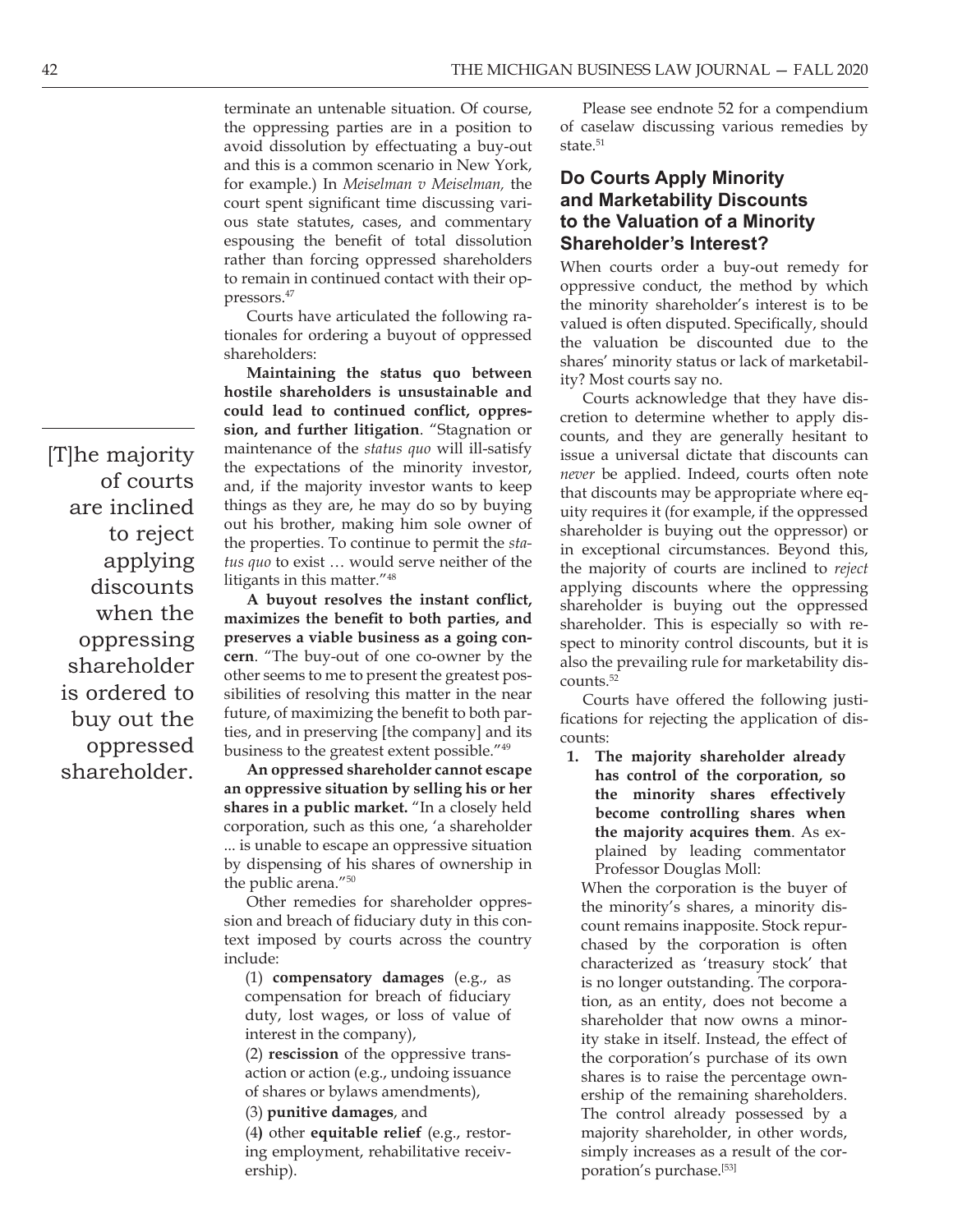terminate an untenable situation. Of course, the oppressing parties are in a position to avoid dissolution by effectuating a buy-out and this is a common scenario in New York, for example.) In *Meiselman v Meiselman,* the court spent significant time discussing various state statutes, cases, and commentary espousing the benefit of total dissolution rather than forcing oppressed shareholders to remain in continued contact with their oppressors.47

Courts have articulated the following rationales for ordering a buyout of oppressed shareholders:

**Maintaining the status quo between hostile shareholders is unsustainable and could lead to continued conflict, oppression, and further litigation**. "Stagnation or maintenance of the *status quo* will ill-satisfy the expectations of the minority investor, and, if the majority investor wants to keep things as they are, he may do so by buying out his brother, making him sole owner of the properties. To continue to permit the *status quo* to exist … would serve neither of the litigants in this matter."48

**A buyout resolves the instant conflict, maximizes the benefit to both parties, and preserves a viable business as a going concern**. "The buy-out of one co-owner by the other seems to me to present the greatest possibilities of resolving this matter in the near future, of maximizing the benefit to both parties, and in preserving [the company] and its business to the greatest extent possible."49

**An oppressed shareholder cannot escape an oppressive situation by selling his or her shares in a public market.** "In a closely held corporation, such as this one, 'a shareholder ... is unable to escape an oppressive situation by dispensing of his shares of ownership in the public arena."50

Other remedies for shareholder oppression and breach of fiduciary duty in this context imposed by courts across the country include:

(1) **compensatory damages** (e.g., as compensation for breach of fiduciary duty, lost wages, or loss of value of interest in the company),

(2) **rescission** of the oppressive transaction or action (e.g., undoing issuance of shares or bylaws amendments),

(3) **punitive damages**, and

(4**)** other **equitable relief** (e.g., restoring employment, rehabilitative receivership).

Please see endnote 52 for a compendium of caselaw discussing various remedies by state $51$ 

#### **Do Courts Apply Minority and Marketability Discounts to the Valuation of a Minority Shareholder's Interest?**

When courts order a buy-out remedy for oppressive conduct, the method by which the minority shareholder's interest is to be valued is often disputed. Specifically, should the valuation be discounted due to the shares' minority status or lack of marketability? Most courts say no.

Courts acknowledge that they have discretion to determine whether to apply discounts, and they are generally hesitant to issue a universal dictate that discounts can *never* be applied. Indeed, courts often note that discounts may be appropriate where equity requires it (for example, if the oppressed shareholder is buying out the oppressor) or in exceptional circumstances. Beyond this, the majority of courts are inclined to *reject* applying discounts where the oppressing shareholder is buying out the oppressed shareholder. This is especially so with respect to minority control discounts, but it is also the prevailing rule for marketability discounts.52

Courts have offered the following justifications for rejecting the application of discounts:

**1. The majority shareholder already has control of the corporation, so the minority shares effectively become controlling shares when the majority acquires them**. As explained by leading commentator Professor Douglas Moll:

When the corporation is the buyer of the minority's shares, a minority discount remains inapposite. Stock repurchased by the corporation is often characterized as 'treasury stock' that is no longer outstanding. The corporation, as an entity, does not become a shareholder that now owns a minority stake in itself. Instead, the effect of the corporation's purchase of its own shares is to raise the percentage ownership of the remaining shareholders. The control already possessed by a majority shareholder, in other words, simply increases as a result of the corporation's purchase.<sup>[53]</sup>

[T]he majority of courts are inclined to reject applying discounts when the oppressing shareholder is ordered to buy out the oppressed shareholder.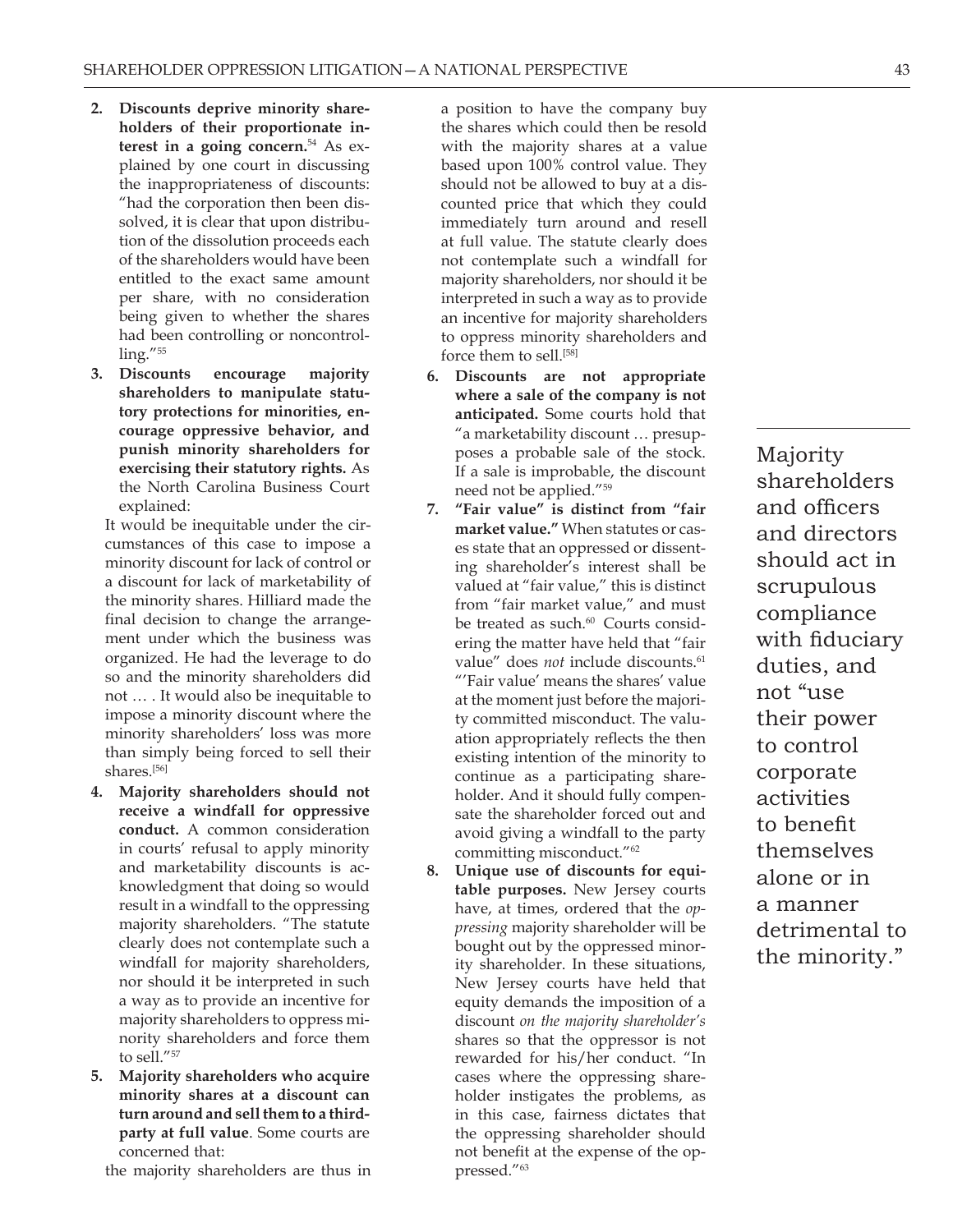- **2. Discounts deprive minority shareholders of their proportionate interest in a going concern.**54 As explained by one court in discussing the inappropriateness of discounts: "had the corporation then been dissolved, it is clear that upon distribution of the dissolution proceeds each of the shareholders would have been entitled to the exact same amount per share, with no consideration being given to whether the shares had been controlling or noncontrolling."55
- **3. Discounts encourage majority shareholders to manipulate statutory protections for minorities, encourage oppressive behavior, and punish minority shareholders for exercising their statutory rights.** As the North Carolina Business Court explained:

It would be inequitable under the circumstances of this case to impose a minority discount for lack of control or a discount for lack of marketability of the minority shares. Hilliard made the final decision to change the arrangement under which the business was organized. He had the leverage to do so and the minority shareholders did not … . It would also be inequitable to impose a minority discount where the minority shareholders' loss was more than simply being forced to sell their shares.[56]

- **4. Majority shareholders should not receive a windfall for oppressive conduct.** A common consideration in courts' refusal to apply minority and marketability discounts is acknowledgment that doing so would result in a windfall to the oppressing majority shareholders. "The statute clearly does not contemplate such a windfall for majority shareholders, nor should it be interpreted in such a way as to provide an incentive for majority shareholders to oppress minority shareholders and force them to sell."<sup>57</sup>
- **5. Majority shareholders who acquire minority shares at a discount can turn around and sell them to a thirdparty at full value**. Some courts are concerned that:

the majority shareholders are thus in

a position to have the company buy the shares which could then be resold with the majority shares at a value based upon 100% control value. They should not be allowed to buy at a discounted price that which they could immediately turn around and resell at full value. The statute clearly does not contemplate such a windfall for majority shareholders, nor should it be interpreted in such a way as to provide an incentive for majority shareholders to oppress minority shareholders and force them to sell.<sup>[58]</sup>

- **6. Discounts are not appropriate where a sale of the company is not anticipated.** Some courts hold that "a marketability discount … presupposes a probable sale of the stock. If a sale is improbable, the discount need not be applied."59
- **7. "Fair value" is distinct from "fair market value."** When statutes or cases state that an oppressed or dissenting shareholder's interest shall be valued at "fair value," this is distinct from "fair market value," and must be treated as such.<sup>60</sup> Courts considering the matter have held that "fair value" does *not* include discounts.<sup>61</sup> "'Fair value' means the shares' value at the moment just before the majority committed misconduct. The valuation appropriately reflects the then existing intention of the minority to continue as a participating shareholder. And it should fully compensate the shareholder forced out and avoid giving a windfall to the party committing misconduct."62
- **8. Unique use of discounts for equitable purposes.** New Jersey courts have, at times, ordered that the *oppressing* majority shareholder will be bought out by the oppressed minority shareholder. In these situations, New Jersey courts have held that equity demands the imposition of a discount *on the majority shareholder's*  shares so that the oppressor is not rewarded for his/her conduct. "In cases where the oppressing shareholder instigates the problems, as in this case, fairness dictates that the oppressing shareholder should not benefit at the expense of the oppressed."63

Majority shareholders and officers and directors should act in scrupulous compliance with fiduciary duties, and not "use their power to control corporate activities to benefit themselves alone or in a manner detrimental to the minority."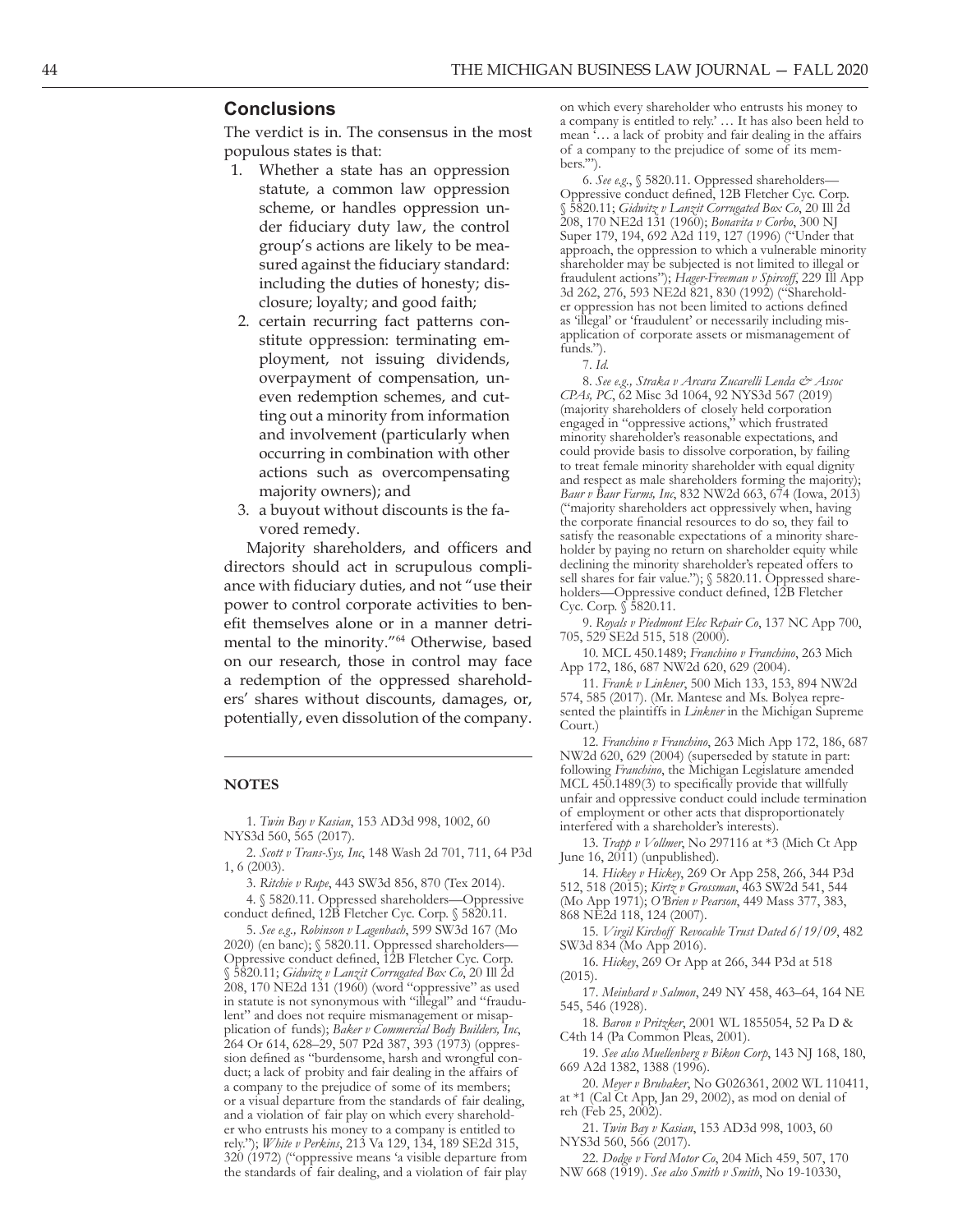#### **Conclusions**

The verdict is in. The consensus in the most populous states is that:

- 1. Whether a state has an oppression statute, a common law oppression scheme, or handles oppression un der fiduciary duty law, the control group's actions are likely to be mea sured against the fiduciary standard: including the duties of honesty; dis closure; loyalty; and good faith;
- 2. certain recurring fact patterns con stitute oppression: terminating em ployment, not issuing dividends, overpayment of compensation, un even redemption schemes, and cut ting out a minority from information and involvement (particularly when occurring in combination with other actions such as overcompensating majority owners); and
- 3. a buyout without discounts is the fa vored remedy.

Majority shareholders, and officers and directors should act in scrupulous compli ance with fiduciary duties, and not "use their power to control corporate activities to ben efit themselves alone or in a manner detri mental to the minority."64 Otherwise, based on our research, those in control may face a redemption of the oppressed sharehold ers' shares without discounts, damages, or, potentially, even dissolution of the company.

#### **NOTES**

1. *Twin Bay v Kasian*, 153 AD3d 998, 1002, 60 NYS3d 560, 565 (2017).

2. *Scott v Trans-Sys, Inc*, 148 Wash 2d 701, 711, 64 P3d 1, 6 (2003).

3. *Ritchie v Rupe*, 443 SW3d 856, 870 (Tex 2014).

4. § 5820.11. Oppressed shareholders—Oppressive conduct defined, 12B Fletcher Cyc. Corp. § 5820.11.

5. *See e.g., Robinson v Lagenbach*, 599 SW3d 167 (Mo 2020) (en banc); § 5820.11. Oppressed shareholders— Oppressive conduct defined, 12B Fletcher Cyc. Corp. § 5820.11; *Gidwitz v Lanzit Corrugated Box Co*, 20 Ill 2d 208, 170 NE2d 131 (1960) (word "oppressive" as used in statute is not synonymous with "illegal" and "fraudu lent" and does not require mismanagement or misap plication of funds); *Baker v Commercial Body Builders, Inc*, 264 Or 614, 628–29, 507 P2d 387, 393 (1973) (oppres sion defined as "burdensome, harsh and wrongful con duct; a lack of probity and fair dealing in the affairs of a company to the prejudice of some of its members; or a visual departure from the standards of fair dealing, and a violation of fair play on which every sharehold er who entrusts his money to a company is entitled to rely."); *White v Perkins*, 213 Va 129, 134, 189 SE2d 315, 320 (1972) ("oppressive means 'a visible departure from the standards of fair dealing, and a violation of fair play

on which every shareholder who entrusts his money to a company is entitled to rely.' … It has also been held to mean '… a lack of probity and fair dealing in the affairs of a company to the prejudice of some of its mem bers.'").

6. *See e.g*., § 5820.11. Oppressed shareholders— Oppressive conduct defined, 12B Fletcher Cyc. Corp. § 5820.11; *Gidwitz v Lanzit Corrugated Box Co*, 20 Ill 2d 208, 170 NE2d 131 (1960); *Bonavita v Corbo*, 300 NJ Super 179, 194, 692 A2d 119, 127 (1996) ("Under that approach, the oppression to which a vulnerable minority shareholder may be subjected is not limited to illegal or fraudulent actions"); *Hager-Freeman v Spircoff*, 229 Ill App 3d 262, 276, 593 NE2d 821, 830 (1992) ("Sharehold er oppression has not been limited to actions defined as 'illegal' or 'fraudulent' or necessarily including mis application of corporate assets or mismanagement of funds.").

7. *Id*.

8. *See e.g., Straka v Arcara Zucarelli Lenda & Assoc CPAs, PC*, 62 Misc 3d 1064, 92 NYS3d 567 (2019) (majority shareholders of closely held corporation engaged in "oppressive actions," which frustrated minority shareholder's reasonable expectations, and could provide basis to dissolve corporation, by failing to treat female minority shareholder with equal dignity and respect as male shareholders forming the majority); *Baur v Baur Farms, Inc*, 832 NW2d 663, 674 (Iowa, 2013) ("majority shareholders act oppressively when, having the corporate financial resources to do so, they fail to satisfy the reasonable expectations of a minority shareholder by paying no return on shareholder equity while declining the minority shareholder's repeated offers to sell shares for fair value."); § 5820.11. Oppressed shareholders—Oppressive conduct defined, 12B Fletcher Cyc. Corp. § 5820.11.

9. *Royals v Piedmont Elec Repair Co*, 137 NC App 700, 705, 529 SE2d 515, 518 (2000).

10. MCL 450.1489; *Franchino v Franchino*, 263 Mich App 172, 186, 687 NW2d 620, 629 (2004).

11. *Frank v Linkner*, 500 Mich 133, 153, 894 NW2d 574, 585 (2017). (Mr. Mantese and Ms. Bolyea repre sented the plaintiffs in *Linkner* in the Michigan Supreme Court.)

12. *Franchino v Franchino*, 263 Mich App 172, 186, 687 NW2d 620, 629 (2004) (superseded by statute in part: following *Franchino*, the Michigan Legislature amended MCL 450.1489(3) to specifically provide that willfully unfair and oppressive conduct could include termination of employment or other acts that disproportionately interfered with a shareholder's interests).

13. *Trapp v Vollmer*, No 297116 at \*3 (Mich Ct App June  $16$ ,  $2011$ ) (unpublished).

14. *Hickey v Hickey*, 269 Or App 258, 266, 344 P3d 512, 518 (2015); *Kirtz v Grossman*, 463 SW2d 541, 544 (Mo App 1971); *O'Brien v Pearson*, 449 Mass 377, 383, 868 NE2d 118, 124 (2007).

15. *Virgil Kirchoff Revocable Trust Dated 6/19/09*, 482 SW3d 834 (Mo App 2016).

16. *Hickey*, 269 Or App at 266, 344 P3d at 518 (2015).

17. *Meinhard v Salmon*, 249 NY 458, 463–64, 164 NE 545, 546 (1928).

18. *Baron v Pritzker*, 2001 WL 1855054, 52 Pa D & C4th 14 (Pa Common Pleas, 2001).

19. *See also Muellenberg v Bikon Corp*, 143 NJ 168, 180, 669 A2d 1382, 1388 (1996).

20. *Meyer v Brubaker*, No G026361, 2002 WL 110411, at \*1 (Cal Ct App, Jan 29, 2002), as mod on denial of reh (Feb 25, 2002).

21. *Twin Bay v Kasian*, 153 AD3d 998, 1003, 60 NYS3d 560, 566 (2017).

22. *Dodge v Ford Motor Co*, 204 Mich 459, 507, 170 NW 668 (1919). *See also Smith v Smith*, No 19-10330,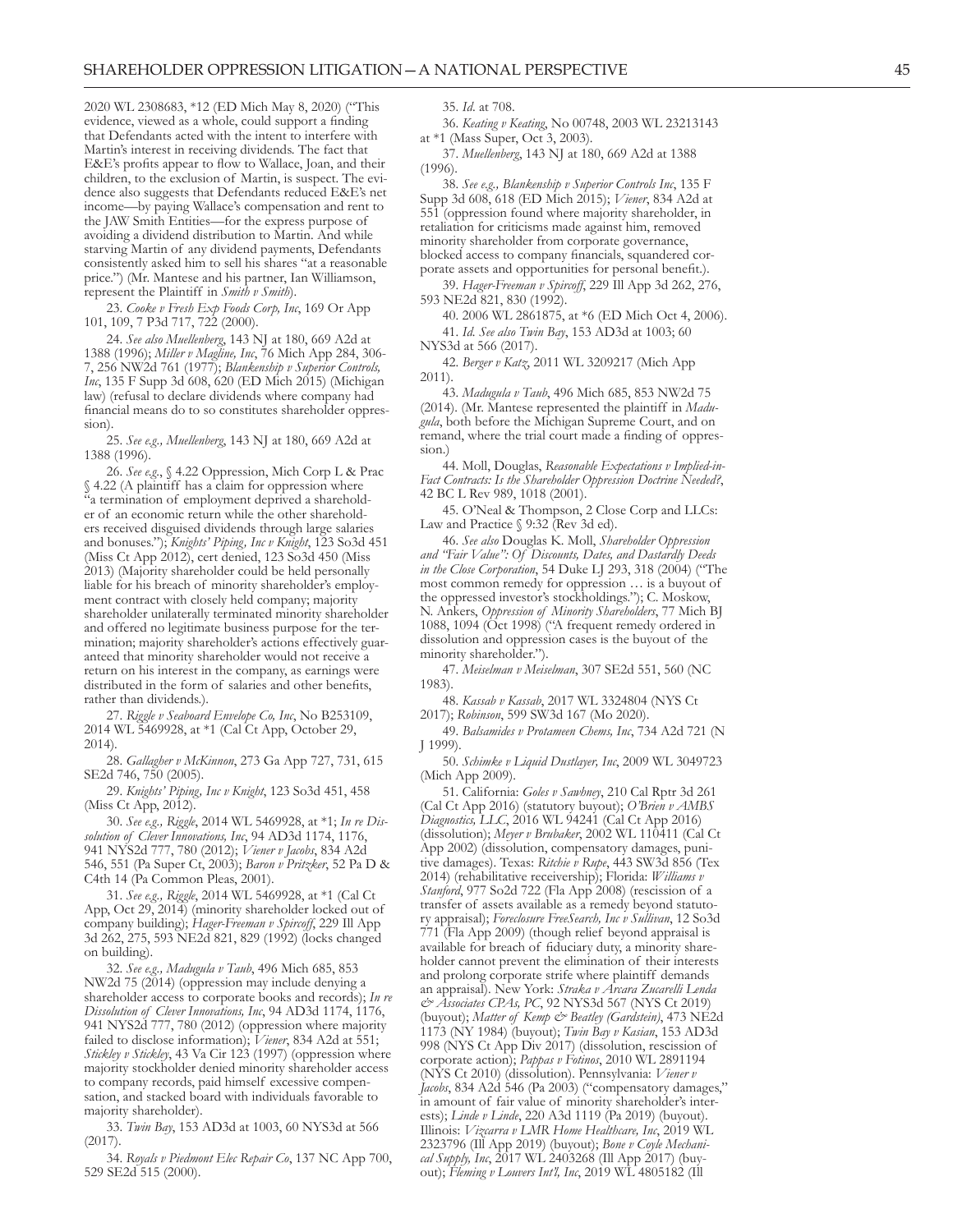2020 WL 2308683, \*12 (ED Mich May 8, 2020) ("This evidence, viewed as a whole, could support a finding that Defendants acted with the intent to interfere with Martin's interest in receiving dividends. The fact that E&E's profits appear to flow to Wallace, Joan, and their children, to the exclusion of Martin, is suspect. The evi dence also suggests that Defendants reduced E&E's net income—by paying Wallace's compensation and rent to the JAW Smith Entities—for the express purpose of avoiding a dividend distribution to Martin. And while starving Martin of any dividend payments, Defendants consistently asked him to sell his shares "at a reasonable price.") (Mr. Mantese and his partner, Ian Williamson, represent the Plaintiff in *Smith v Smith*).

23. *Cooke v Fresh Exp Foods Corp, Inc*, 169 Or App 101, 109, 7 P3d 717, 722 (2000).

24. *See also Muellenberg*, 143 NJ at 180, 669 A2d at 1388 (1996); *Miller v Magline, Inc*, 76 Mich App 284, 306- 7, 256 NW2d 761 (1977); *Blankenship v Superior Controls, Inc*, 135 F Supp 3d 608, 620 (ED Mich 2015) (Michigan law) (refusal to declare dividends where company had financial means do to so constitutes shareholder oppres sion).

25. *See e.g., Muellenberg*, 143 NJ at 180, 669 A2d at 1388 (1996).

26. *See e.g*., § 4.22 Oppression, Mich Corp L & Prac § 4.22 (A plaintiff has a claim for oppression where "a termination of employment deprived a sharehold er of an economic return while the other sharehold ers received disguised dividends through large salaries and bonuses."); *Knights' Piping, Inc v Knight*, 123 So3d 451 (Miss Ct App 2012), cert denied, 123 So3d 450 (Miss 2013) (Majority shareholder could be held personally liable for his breach of minority shareholder's employ ment contract with closely held company; majority shareholder unilaterally terminated minority shareholder and offered no legitimate business purpose for the ter mination; majority shareholder's actions effectively guar anteed that minority shareholder would not receive a return on his interest in the company, as earnings were distributed in the form of salaries and other benefits, rather than dividends.).

27. *Riggle v Seaboard Envelope Co, Inc*, No B253109, 2014 WL 5469928, at \*1 (Cal Ct App, October 29, 2014).

28. *Gallagher v McKinnon*, 273 Ga App 727, 731, 615 SE2d 746, 750 (2005).

29. *Knights' Piping, Inc v Knight*, 123 So3d 451, 458 (Miss Ct App, 2012).

30. *See e.g., Riggle*, 2014 WL 5469928, at \*1; *In re Dis solution of Clever Innovations, Inc*, 94 AD3d 1174, 1176, 941 NYS2d 777, 780 (2012); *Viener v Jacobs*, 834 A2d 546, 551 (Pa Super Ct, 2003); *Baron v Pritzker*, 52 Pa D & C4th 14 (Pa Common Pleas, 2001).

31. *See e.g., Riggle*, 2014 WL 5469928, at \*1 (Cal Ct App, Oct 29, 2014) (minority shareholder locked out of company building); *Hager-Freeman v Spircoff*, 229 Ill App 3d 262, 275, 593 NE2d 821, 829 (1992) (locks changed on building).

32. *See e.g., Madugula v Taub*, 496 Mich 685, 853 NW2d 75 (2014) (oppression may include denying a shareholder access to corporate books and records); *In re Dissolution of Clever Innovations, Inc*, 94 AD3d 1174, 1176, 941 NYS2d 777, 780 (2012) (oppression where majority failed to disclose information); *Viener*, 834 A2d at 551; *Stickley v Stickley*, 43 Va Cir 123 (1997) (oppression where majority stockholder denied minority shareholder access to company records, paid himself excessive compen sation, and stacked board with individuals favorable to majority shareholder).

33. *Twin Bay*, 153 AD3d at 1003, 60 NYS3d at 566 (2017).

34. *Royals v Piedmont Elec Repair Co*, 137 NC App 700, 529 SE2d 515 (2000).

35. *Id*. at 708.

36. *Keating v Keating*, No 00748, 2003 WL 23213143 at \*1 (Mass Super, Oct 3, 2003).

37. *Muellenberg*, 143 NJ at 180, 669 A2d at 1388  $(1996)$ .

38. *See e.g., Blankenship v Superior Controls Inc*, 135 F Supp 3d 608, 618 (ED Mich 2015); *Viener*, 834 A2d at 551 (oppression found where majority shareholder, in retaliation for criticisms made against him, removed minority shareholder from corporate governance, blocked access to company financials, squandered cor porate assets and opportunities for personal benefit.).

39. *Hager-Freeman v Spircoff*, 229 Ill App 3d 262, 276, 593 NE2d 821, 830 (1992).

40. 2006 WL 2861875, at \*6 (ED Mich Oct 4, 2006). 41. *Id. See also Twin Bay*, 153 AD3d at 1003; 60

NYS3d at 566 (2017).

42. *Berger v Katz*, 2011 WL 3209217 (Mich App 2011).

43. *Madugula v Taub*, 496 Mich 685, 853 NW2d 75 (2014). (Mr. Mantese represented the plaintiff in *Madu gula*, both before the Michigan Supreme Court, and on remand, where the trial court made a finding of oppres sion.)

44. Moll, Douglas, *Reasonable Expectations v Implied-in-Fact Contracts: Is the Shareholder Oppression Doctrine Needed?*, 42 BC L Rev 989, 1018 (2001).

45. O'Neal & Thompson, 2 Close Corp and LLCs: Law and Practice § 9:32 (Rev 3d ed).

46. *See also* Douglas K. Moll, *Shareholder Oppression and "Fair Value": Of Discounts, Dates, and Dastardly Deeds in the Close Corporation*, 54 Duke LJ 293, 318 (2004) ("The most common remedy for oppression … is a buyout of the oppressed investor's stockholdings."); C. Moskow, N. Ankers, *Oppression of Minority Shareholders*, 77 Mich BJ 1088, 1094 (Oct 1998) ("A frequent remedy ordered in dissolution and oppression cases is the buyout of the minority shareholder.").

47. *Meiselman v Meiselman*, 307 SE2d 551, 560 (NC 1983).

48. *Kassab v Kassab*, 2017 WL 3324804 (NYS Ct 2017); *Robinson*, 599 SW3d 167 (Mo 2020).

49. *Balsamides v Protameen Chems, Inc*, 734 A2d 721 (N J 1999).

50. *Schimke v Liquid Dustlayer, Inc*, 2009 WL 3049723 (Mich App 2009).

51. California: *Goles v Sawhney*, 210 Cal Rptr 3d 261 (Cal Ct App 2016) (statutory buyout); *O'Brien v AMBS Diagnostics, LLC*, 2016 WL 94241 (Cal Ct App 2016) (dissolution); Meyer v Brubaker, 2002 WL 110411 (Cal Ct App 2002) (dissolution, compensatory damages, puni tive damages). Texas: *Ritchie v Rupe*, 443 SW3d 856 (Tex 2014) (rehabilitative receivership); Florida: *Williams v Stanford*, 977 So2d 722 (Fla App 2008) (rescission of a transfer of assets available as a remedy beyond statuto ry appraisal); *Foreclosure FreeSearch, Inc v Sullivan*, 12 So3d 771 (Fla App 2009) (though relief beyond appraisal is available for breach of fiduciary duty, a minority share holder cannot prevent the elimination of their interests and prolong corporate strife where plaintiff demands an appraisal). New York: *Straka v Arcara Zucarelli Lenda & Associates CPAs, PC*, 92 NYS3d 567 (NYS Ct 2019) (buyout); Matter of Kemp & Beatley (Gardstein), 473 NE2d 1173 (NY 1984) (buyout); *Twin Bay v Kasian*, 153 AD3d 998 (NYS Ct App Div 2017) (dissolution, rescission of corporate action); *Pappas v Fotinos*, 2010 WL 2891194 (NYS Ct 2010) (dissolution). Pennsylvania: *Viener v Jacobs*, 834 A2d 546 (Pa 2003) ("compensatory damages," in amount of fair value of minority shareholder's inter ests); *Linde v Linde*, 220 A3d 1119 (Pa 2019) (buyout). Illinois: *Vizcarra v LMR Home Healthcare, Inc*, 2019 WL 2323796 (Ill App 2019) (buyout); *Bone v Coyle Mechanical Supply, Inc*, 2017 WL 2403268 (Ill App 2017) (buyout); *Fleming v Louvers Int'l, Inc*, 2019 WL 4805182 (Ill